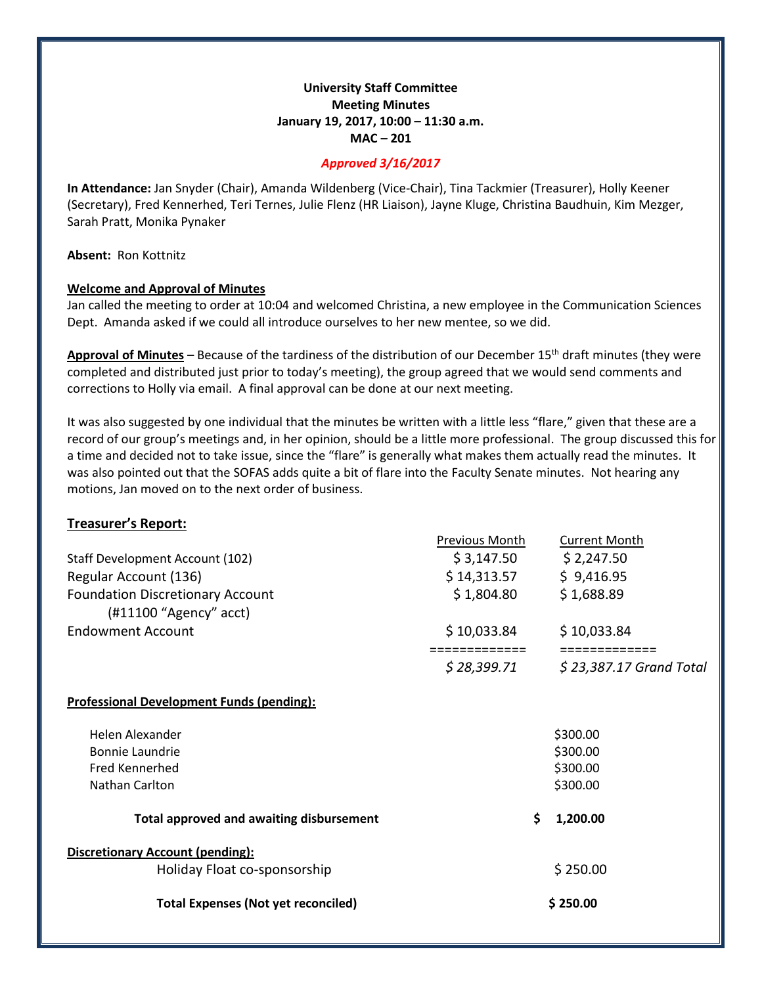# **University Staff Committee Meeting Minutes January 19, 2017, 10:00 – 11:30 a.m. MAC – 201**

### *Approved 3/16/2017*

**In Attendance:** Jan Snyder (Chair), Amanda Wildenberg (Vice-Chair), Tina Tackmier (Treasurer), Holly Keener (Secretary), Fred Kennerhed, Teri Ternes, Julie Flenz (HR Liaison), Jayne Kluge, Christina Baudhuin, Kim Mezger, Sarah Pratt, Monika Pynaker

#### **Absent:** Ron Kottnitz

#### **Welcome and Approval of Minutes**

Jan called the meeting to order at 10:04 and welcomed Christina, a new employee in the Communication Sciences Dept. Amanda asked if we could all introduce ourselves to her new mentee, so we did.

**Approval of Minutes** – Because of the tardiness of the distribution of our December 15th draft minutes (they were completed and distributed just prior to today's meeting), the group agreed that we would send comments and corrections to Holly via email. A final approval can be done at our next meeting.

It was also suggested by one individual that the minutes be written with a little less "flare," given that these are a record of our group's meetings and, in her opinion, should be a little more professional. The group discussed this for a time and decided not to take issue, since the "flare" is generally what makes them actually read the minutes. It was also pointed out that the SOFAS adds quite a bit of flare into the Faculty Senate minutes. Not hearing any motions, Jan moved on to the next order of business.

### **Treasurer's Report:**

|                                                                     | Previous Month              | <b>Current Month</b>                      |
|---------------------------------------------------------------------|-----------------------------|-------------------------------------------|
| Staff Development Account (102)                                     | \$3,147.50                  | \$2,247.50                                |
| Regular Account (136)                                               | \$14,313.57                 | \$9,416.95                                |
| <b>Foundation Discretionary Account</b><br>$(H11100$ "Agency" acct) | \$1,804.80                  | \$1,688.89                                |
| <b>Endowment Account</b>                                            | \$10,033.84                 | \$10,033.84                               |
|                                                                     | ============<br>\$28,399.71 | =============<br>$$23,387.17$ Grand Total |
| <b>Professional Development Funds (pending):</b>                    |                             |                                           |
| Helen Alexander                                                     |                             | \$300.00                                  |
| <b>Bonnie Laundrie</b>                                              |                             | \$300.00                                  |
| Fred Kennerhed                                                      |                             | \$300.00                                  |
| Nathan Carlton                                                      |                             | \$300.00                                  |
| <b>Total approved and awaiting disbursement</b>                     | \$.                         | 1,200.00                                  |
| <b>Discretionary Account (pending):</b>                             |                             |                                           |
| Holiday Float co-sponsorship                                        |                             | \$250.00                                  |
| <b>Total Expenses (Not yet reconciled)</b>                          |                             | \$250.00                                  |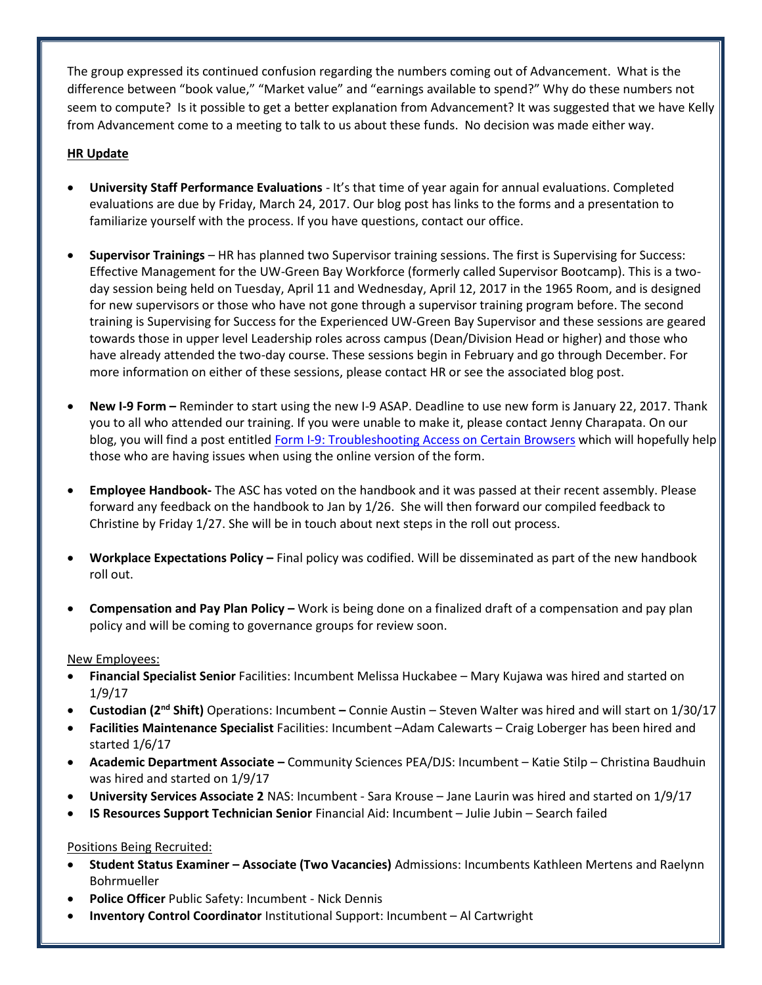The group expressed its continued confusion regarding the numbers coming out of Advancement. What is the difference between "book value," "Market value" and "earnings available to spend?" Why do these numbers not seem to compute? Is it possible to get a better explanation from Advancement? It was suggested that we have Kelly from Advancement come to a meeting to talk to us about these funds. No decision was made either way.

## **HR Update**

- **University Staff Performance Evaluations** It's that time of year again for annual evaluations. Completed evaluations are due by Friday, March 24, 2017. Our blog post has links to the forms and a presentation to familiarize yourself with the process. If you have questions, contact our office.
- **Supervisor Trainings**  HR has planned two Supervisor training sessions. The first is Supervising for Success: Effective Management for the UW-Green Bay Workforce (formerly called Supervisor Bootcamp). This is a twoday session being held on Tuesday, April 11 and Wednesday, April 12, 2017 in the 1965 Room, and is designed for new supervisors or those who have not gone through a supervisor training program before. The second training is Supervising for Success for the Experienced UW-Green Bay Supervisor and these sessions are geared towards those in upper level Leadership roles across campus (Dean/Division Head or higher) and those who have already attended the two-day course. These sessions begin in February and go through December. For more information on either of these sessions, please contact HR or see the associated blog post.
- **New I-9 Form –** Reminder to start using the new I-9 ASAP. Deadline to use new form is January 22, 2017. Thank you to all who attended our training. If you were unable to make it, please contact Jenny Charapata. On our blog, you will find a post entitle[d Form I-9: Troubleshooting Access on Certain Browsers](http://blog.uwgb.edu/hr/2017/01/form-i-9-troubleshooting-access-on-certain-browsers/) which will hopefully help those who are having issues when using the online version of the form.
- **Employee Handbook-** The ASC has voted on the handbook and it was passed at their recent assembly. Please forward any feedback on the handbook to Jan by 1/26. She will then forward our compiled feedback to Christine by Friday 1/27. She will be in touch about next steps in the roll out process.
- **Workplace Expectations Policy –** Final policy was codified. Will be disseminated as part of the new handbook roll out.
- **Compensation and Pay Plan Policy –** Work is being done on a finalized draft of a compensation and pay plan policy and will be coming to governance groups for review soon.

### New Employees:

- **Financial Specialist Senior** Facilities: Incumbent Melissa Huckabee Mary Kujawa was hired and started on 1/9/17
- **Custodian (2nd Shift)** Operations: Incumbent **–** Connie Austin Steven Walter was hired and will start on 1/30/17
- **Facilities Maintenance Specialist** Facilities: Incumbent –Adam Calewarts Craig Loberger has been hired and started 1/6/17
- **Academic Department Associate –** Community Sciences PEA/DJS: Incumbent Katie Stilp Christina Baudhuin was hired and started on 1/9/17
- **University Services Associate 2** NAS: Incumbent Sara Krouse Jane Laurin was hired and started on 1/9/17
- **IS Resources Support Technician Senior** Financial Aid: Incumbent Julie Jubin Search failed

# Positions Being Recruited:

- **Student Status Examiner – Associate (Two Vacancies)** Admissions: Incumbents Kathleen Mertens and Raelynn Bohrmueller
- **Police Officer** Public Safety: Incumbent Nick Dennis
- **Inventory Control Coordinator** Institutional Support: Incumbent Al Cartwright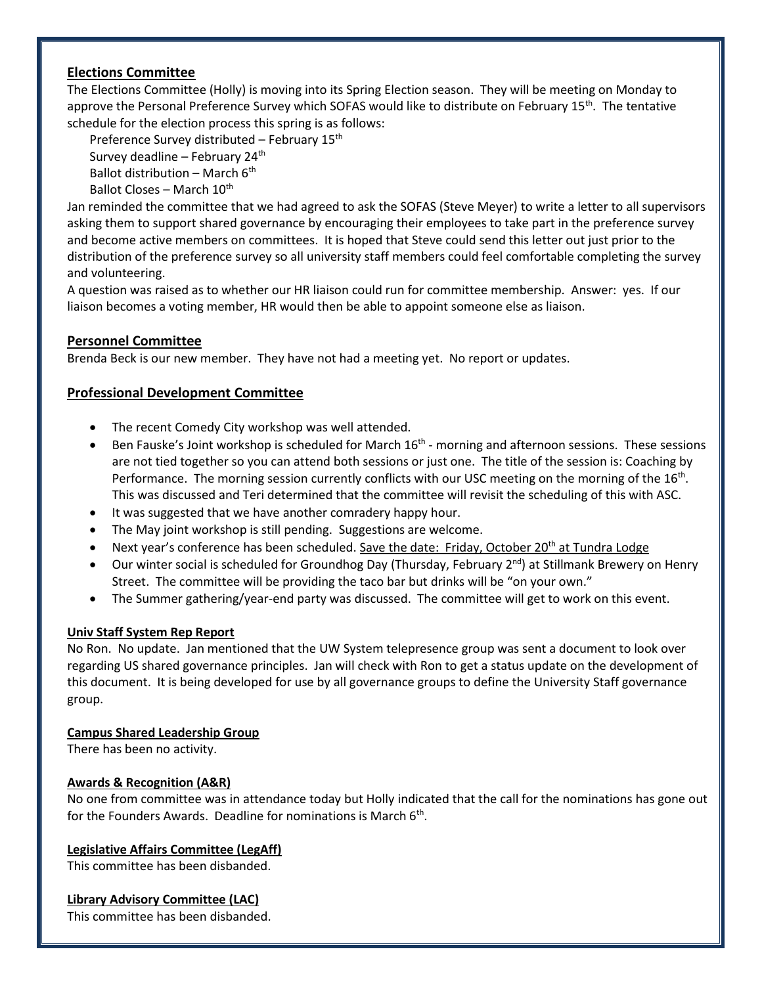# **Elections Committee**

The Elections Committee (Holly) is moving into its Spring Election season. They will be meeting on Monday to approve the Personal Preference Survey which SOFAS would like to distribute on February 15<sup>th</sup>. The tentative schedule for the election process this spring is as follows:

Preference Survey distributed – February 15th Survey deadline – February  $24<sup>th</sup>$ Ballot distribution – March  $6<sup>th</sup>$ Ballot Closes – March  $10^{th}$ 

Jan reminded the committee that we had agreed to ask the SOFAS (Steve Meyer) to write a letter to all supervisors asking them to support shared governance by encouraging their employees to take part in the preference survey and become active members on committees. It is hoped that Steve could send this letter out just prior to the distribution of the preference survey so all university staff members could feel comfortable completing the survey and volunteering.

A question was raised as to whether our HR liaison could run for committee membership. Answer: yes. If our liaison becomes a voting member, HR would then be able to appoint someone else as liaison.

# **Personnel Committee**

Brenda Beck is our new member. They have not had a meeting yet. No report or updates.

# **Professional Development Committee**

- The recent Comedy City workshop was well attended.
- Ben Fauske's Joint workshop is scheduled for March 16<sup>th</sup> morning and afternoon sessions. These sessions are not tied together so you can attend both sessions or just one. The title of the session is: Coaching by Performance. The morning session currently conflicts with our USC meeting on the morning of the 16<sup>th</sup>. This was discussed and Teri determined that the committee will revisit the scheduling of this with ASC.
- It was suggested that we have another comradery happy hour.
- The May joint workshop is still pending. Suggestions are welcome.
- Next year's conference has been scheduled. Save the date: Friday, October 20<sup>th</sup> at Tundra Lodge
- $\bullet$  Our winter social is scheduled for Groundhog Day (Thursday, February 2<sup>nd</sup>) at Stillmank Brewery on Henry Street. The committee will be providing the taco bar but drinks will be "on your own."
- The Summer gathering/year-end party was discussed. The committee will get to work on this event.

### **Univ Staff System Rep Report**

No Ron. No update. Jan mentioned that the UW System telepresence group was sent a document to look over regarding US shared governance principles. Jan will check with Ron to get a status update on the development of this document. It is being developed for use by all governance groups to define the University Staff governance group.

### **Campus Shared Leadership Group**

There has been no activity.

### **Awards & Recognition (A&R)**

No one from committee was in attendance today but Holly indicated that the call for the nominations has gone out for the Founders Awards. Deadline for nominations is March 6<sup>th</sup>.

### **Legislative Affairs Committee (LegAff)**

This committee has been disbanded.

### **Library Advisory Committee (LAC)**

This committee has been disbanded.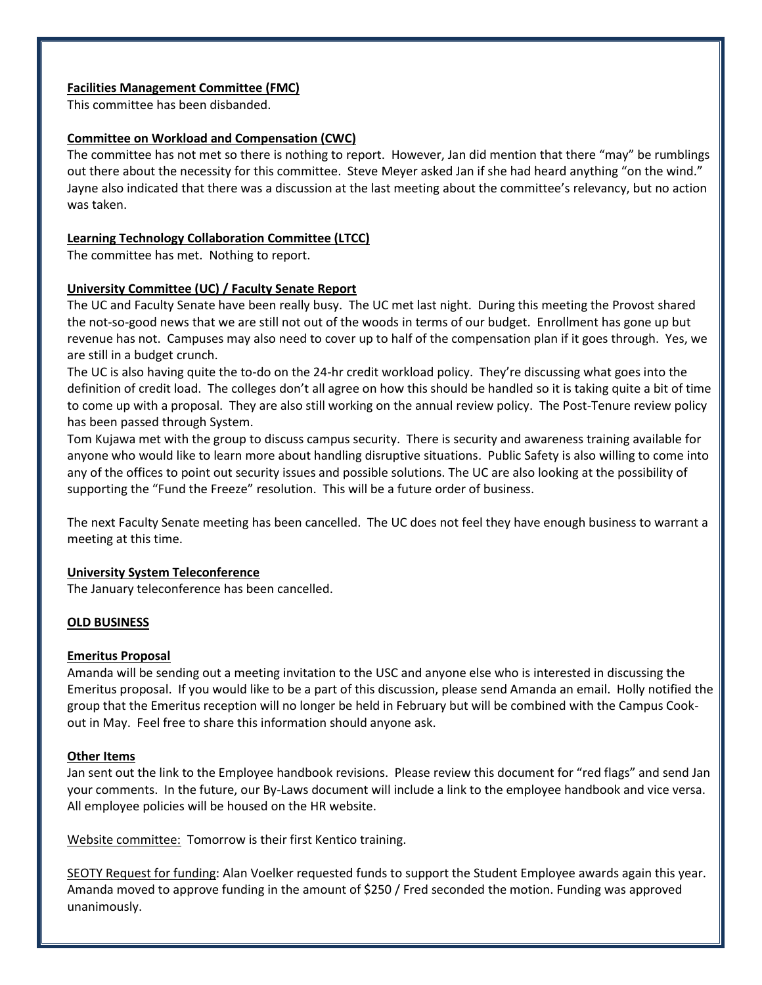### **Facilities Management Committee (FMC)**

This committee has been disbanded.

# **Committee on Workload and Compensation (CWC)**

The committee has not met so there is nothing to report. However, Jan did mention that there "may" be rumblings out there about the necessity for this committee. Steve Meyer asked Jan if she had heard anything "on the wind." Jayne also indicated that there was a discussion at the last meeting about the committee's relevancy, but no action was taken.

## **Learning Technology Collaboration Committee (LTCC)**

The committee has met. Nothing to report.

# **University Committee (UC) / Faculty Senate Report**

The UC and Faculty Senate have been really busy. The UC met last night. During this meeting the Provost shared the not-so-good news that we are still not out of the woods in terms of our budget. Enrollment has gone up but revenue has not. Campuses may also need to cover up to half of the compensation plan if it goes through. Yes, we are still in a budget crunch.

The UC is also having quite the to-do on the 24-hr credit workload policy. They're discussing what goes into the definition of credit load. The colleges don't all agree on how this should be handled so it is taking quite a bit of time to come up with a proposal. They are also still working on the annual review policy. The Post-Tenure review policy has been passed through System.

Tom Kujawa met with the group to discuss campus security. There is security and awareness training available for anyone who would like to learn more about handling disruptive situations. Public Safety is also willing to come into any of the offices to point out security issues and possible solutions. The UC are also looking at the possibility of supporting the "Fund the Freeze" resolution. This will be a future order of business.

The next Faculty Senate meeting has been cancelled. The UC does not feel they have enough business to warrant a meeting at this time.

# **University System Teleconference**

The January teleconference has been cancelled.

# **OLD BUSINESS**

### **Emeritus Proposal**

Amanda will be sending out a meeting invitation to the USC and anyone else who is interested in discussing the Emeritus proposal. If you would like to be a part of this discussion, please send Amanda an email. Holly notified the group that the Emeritus reception will no longer be held in February but will be combined with the Campus Cookout in May. Feel free to share this information should anyone ask.

### **Other Items**

Jan sent out the link to the Employee handbook revisions. Please review this document for "red flags" and send Jan your comments. In the future, our By-Laws document will include a link to the employee handbook and vice versa. All employee policies will be housed on the HR website.

Website committee: Tomorrow is their first Kentico training.

SEOTY Request for funding: Alan Voelker requested funds to support the Student Employee awards again this year. Amanda moved to approve funding in the amount of \$250 / Fred seconded the motion. Funding was approved unanimously.